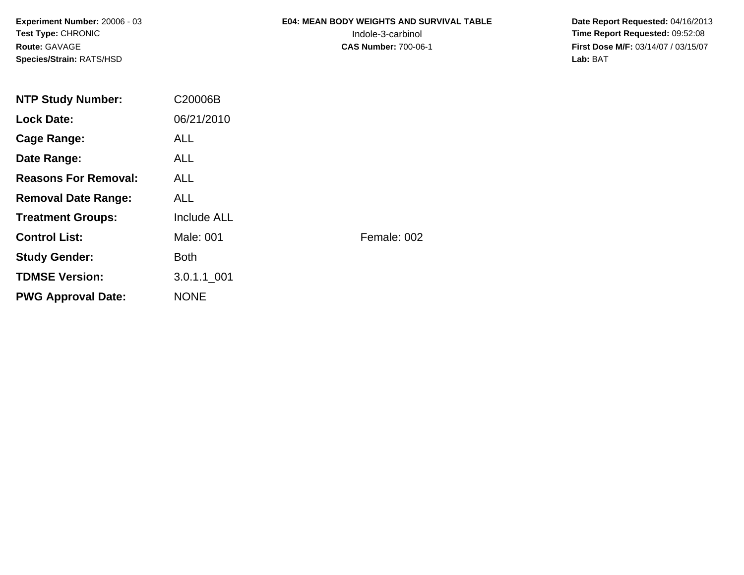**Experiment Number:** 20006 - 03**Test Type:** CHRONIC**Route:** GAVAGE**Species/Strain:** RATS/HSD

# **E04: MEAN BODY WEIGHTS AND SURVIVAL TABLE**

 **Date Report Requested:** 04/16/2013 Indole-3-carbinol **Time Report Requested:** 09:52:08 **First Dose M/F:** 03/14/07 / 03/15/07<br>Lab: BAT **Lab:** BAT

| <b>ALL</b>  |                       |
|-------------|-----------------------|
| ALL.        |                       |
| ALL.        |                       |
| ALL.        |                       |
| Include ALL |                       |
| Male: 001   | Female: 002           |
| <b>Both</b> |                       |
| 3.0.1.1 001 |                       |
| <b>NONE</b> |                       |
|             | C20006B<br>06/21/2010 |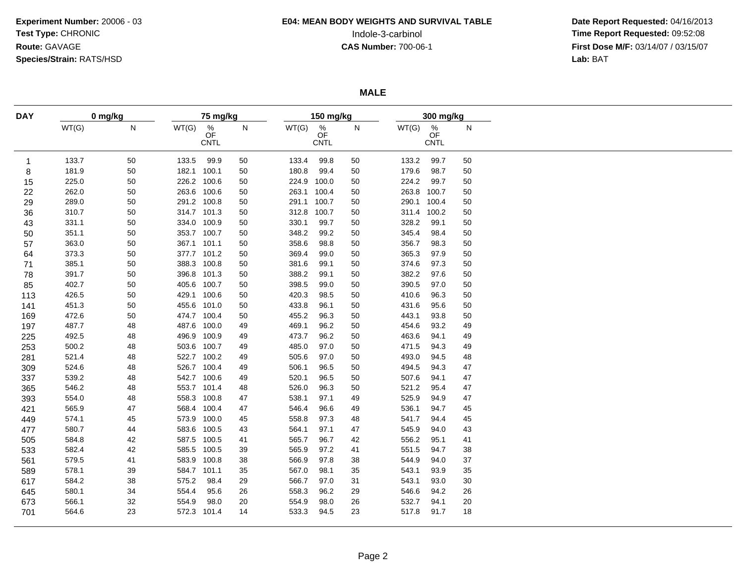# **E04: MEAN BODY WEIGHTS AND SURVIVAL TABLE**

 **Date Report Requested:** 04/16/2013 Indole-3-carbinol **Time Report Requested:** 09:52:08 **First Dose M/F:** 03/14/07 / 03/15/07<br>Lab: BAT **Lab:** BAT

**MALE**

| <b>DAY</b> | 0 mg/kg |    | 75 mg/kg    |                        |    | 150 mg/kg |                        |              | 300 mg/kg |                        |    |  |
|------------|---------|----|-------------|------------------------|----|-----------|------------------------|--------------|-----------|------------------------|----|--|
|            | WT(G)   | N  | WT(G)       | $\frac{\%}{\text{OF}}$ | N  | WT(G)     | $\frac{\%}{\text{OF}}$ | $\mathsf{N}$ | WT(G)     | $\frac{\%}{\text{OF}}$ | N  |  |
|            |         |    |             | <b>CNTL</b>            |    |           | <b>CNTL</b>            |              |           | <b>CNTL</b>            |    |  |
|            |         |    |             |                        |    |           |                        |              |           |                        |    |  |
| -1         | 133.7   | 50 | 133.5       | 99.9                   | 50 | 133.4     | 99.8                   | 50           | 133.2     | 99.7                   | 50 |  |
| 8          | 181.9   | 50 | 182.1 100.1 |                        | 50 | 180.8     | 99.4                   | 50           | 179.6     | 98.7                   | 50 |  |
| 15         | 225.0   | 50 | 226.2 100.6 |                        | 50 | 224.9     | 100.0                  | 50           | 224.2     | 99.7                   | 50 |  |
| 22         | 262.0   | 50 | 263.6 100.6 |                        | 50 | 263.1     | 100.4                  | 50           | 263.8     | 100.7                  | 50 |  |
| 29         | 289.0   | 50 | 291.2 100.8 |                        | 50 | 291.1     | 100.7                  | 50           | 290.1     | 100.4                  | 50 |  |
| 36         | 310.7   | 50 | 314.7 101.3 |                        | 50 | 312.8     | 100.7                  | 50           |           | 311.4 100.2            | 50 |  |
| 43         | 331.1   | 50 | 334.0 100.9 |                        | 50 | 330.1     | 99.7                   | 50           | 328.2     | 99.1                   | 50 |  |
| 50         | 351.1   | 50 | 353.7 100.7 |                        | 50 | 348.2     | 99.2                   | 50           | 345.4     | 98.4                   | 50 |  |
| 57         | 363.0   | 50 | 367.1 101.1 |                        | 50 | 358.6     | 98.8                   | 50           | 356.7     | 98.3                   | 50 |  |
| 64         | 373.3   | 50 | 377.7 101.2 |                        | 50 | 369.4     | 99.0                   | 50           | 365.3     | 97.9                   | 50 |  |
| 71         | 385.1   | 50 | 388.3 100.8 |                        | 50 | 381.6     | 99.1                   | 50           | 374.6     | 97.3                   | 50 |  |
| 78         | 391.7   | 50 | 396.8 101.3 |                        | 50 | 388.2     | 99.1                   | 50           | 382.2     | 97.6                   | 50 |  |
| 85         | 402.7   | 50 | 405.6 100.7 |                        | 50 | 398.5     | 99.0                   | 50           | 390.5     | 97.0                   | 50 |  |
| 113        | 426.5   | 50 | 429.1 100.6 |                        | 50 | 420.3     | 98.5                   | 50           | 410.6     | 96.3                   | 50 |  |
| 141        | 451.3   | 50 | 455.6 101.0 |                        | 50 | 433.8     | 96.1                   | 50           | 431.6     | 95.6                   | 50 |  |
| 169        | 472.6   | 50 | 474.7 100.4 |                        | 50 | 455.2     | 96.3                   | 50           | 443.1     | 93.8                   | 50 |  |
| 197        | 487.7   | 48 | 487.6 100.0 |                        | 49 | 469.1     | 96.2                   | 50           | 454.6     | 93.2                   | 49 |  |
| 225        | 492.5   | 48 | 496.9 100.9 |                        | 49 | 473.7     | 96.2                   | 50           | 463.6     | 94.1                   | 49 |  |
| 253        | 500.2   | 48 | 503.6 100.7 |                        | 49 | 485.0     | 97.0                   | 50           | 471.5     | 94.3                   | 49 |  |
| 281        | 521.4   | 48 | 522.7 100.2 |                        | 49 | 505.6     | 97.0                   | 50           | 493.0     | 94.5                   | 48 |  |
| 309        | 524.6   | 48 | 526.7 100.4 |                        | 49 | 506.1     | 96.5                   | 50           | 494.5     | 94.3                   | 47 |  |
| 337        | 539.2   | 48 | 542.7 100.6 |                        | 49 | 520.1     | 96.5                   | 50           | 507.6     | 94.1                   | 47 |  |
| 365        | 546.2   | 48 | 553.7 101.4 |                        | 48 | 526.0     | 96.3                   | 50           | 521.2     | 95.4                   | 47 |  |
| 393        | 554.0   | 48 | 558.3 100.8 |                        | 47 | 538.1     | 97.1                   | 49           | 525.9     | 94.9                   | 47 |  |
| 421        | 565.9   | 47 | 568.4 100.4 |                        | 47 | 546.4     | 96.6                   | 49           | 536.1     | 94.7                   | 45 |  |
| 449        | 574.1   | 45 | 573.9 100.0 |                        | 45 | 558.8     | 97.3                   | 48           | 541.7     | 94.4                   | 45 |  |
| 477        | 580.7   | 44 | 583.6 100.5 |                        | 43 | 564.1     | 97.1                   | 47           | 545.9     | 94.0                   | 43 |  |
| 505        | 584.8   | 42 | 587.5 100.5 |                        | 41 | 565.7     | 96.7                   | 42           | 556.2     | 95.1                   | 41 |  |
| 533        | 582.4   | 42 | 585.5 100.5 |                        | 39 | 565.9     | 97.2                   | 41           | 551.5     | 94.7                   | 38 |  |
| 561        | 579.5   | 41 | 583.9 100.8 |                        | 38 | 566.9     | 97.8                   | 38           | 544.9     | 94.0                   | 37 |  |
| 589        | 578.1   | 39 | 584.7 101.1 |                        | 35 | 567.0     | 98.1                   | 35           | 543.1     | 93.9                   | 35 |  |
| 617        | 584.2   | 38 | 575.2       | 98.4                   | 29 | 566.7     | 97.0                   | 31           | 543.1     | 93.0                   | 30 |  |
| 645        | 580.1   | 34 | 554.4       | 95.6                   | 26 | 558.3     | 96.2                   | 29           | 546.6     | 94.2                   | 26 |  |
|            | 566.1   | 32 | 554.9       | 98.0                   | 20 | 554.9     | 98.0                   | 26           | 532.7     | 94.1                   | 20 |  |
| 673<br>701 | 564.6   | 23 | 572.3 101.4 |                        | 14 | 533.3     | 94.5                   | 23           | 517.8     | 91.7                   | 18 |  |
|            |         |    |             |                        |    |           |                        |              |           |                        |    |  |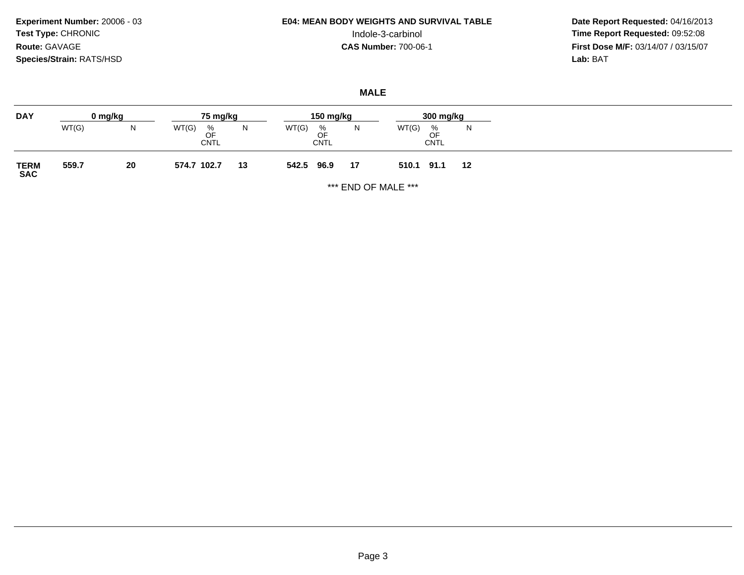**Experiment Number:** 20006 - 03**Test Type:** CHRONIC**Route:** GAVAGE**Species/Strain:** RATS/HSD

# **E04: MEAN BODY WEIGHTS AND SURVIVAL TABLE**

 **Date Report Requested:** 04/16/2013 Indole-3-carbinol **Time Report Requested:** 09:52:08 **First Dose M/F:** 03/14/07 / 03/15/07<br>Lab: BAT **Lab:** BAT

### **MALE**

| <b>DAY</b>          |       | 0 mg/kg | 75 mg/kg                        |    | 150 mg/kg                       |    | 300 mg/kg                       |    |
|---------------------|-------|---------|---------------------------------|----|---------------------------------|----|---------------------------------|----|
|                     | WT(G) | IN.     | WT(G)<br>%<br>OF<br><b>CNTL</b> | N  | WT(G)<br>%<br>OF<br><b>CNTL</b> | N  | WT(G)<br>%<br>OF<br><b>CNTL</b> | N  |
| <b>TERM<br/>SAC</b> | 559.7 | 20      | 574.7 102.7                     | 13 | 542.5<br>96.9                   | 17 | 510.1<br>91.1                   | 12 |

\*\*\* END OF MALE \*\*\*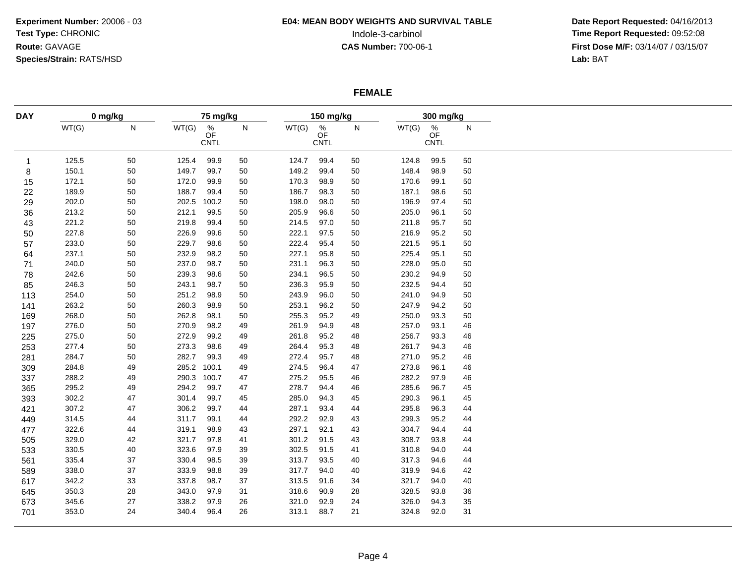# **E04: MEAN BODY WEIGHTS AND SURVIVAL TABLE**

 **Date Report Requested:** 04/16/2013 Indole-3-carbinol **Time Report Requested:** 09:52:08 **First Dose M/F:** 03/14/07 / 03/15/07<br>Lab: BAT **Lab:** BAT

### **FEMALE**

| <b>DAY</b>   | 0 mg/kg |    | 75 mg/kg |                                       |              |       | 150 mg/kg                        |    |       | 300 mg/kg                     |              |
|--------------|---------|----|----------|---------------------------------------|--------------|-------|----------------------------------|----|-------|-------------------------------|--------------|
|              | WT(G)   | N  | WT(G)    | $\frac{\%}{\text{OF}}$<br><b>CNTL</b> | $\mathsf{N}$ | WT(G) | $\%$<br><b>OF</b><br><b>CNTL</b> | N  | WT(G) | %<br><b>OF</b><br><b>CNTL</b> | $\mathsf{N}$ |
| $\mathbf{1}$ | 125.5   | 50 | 125.4    | 99.9                                  | 50           | 124.7 | 99.4                             | 50 | 124.8 | 99.5                          | 50           |
| 8            | 150.1   | 50 | 149.7    | 99.7                                  | 50           | 149.2 | 99.4                             | 50 | 148.4 | 98.9                          | 50           |
| 15           | 172.1   | 50 | 172.0    | 99.9                                  | 50           | 170.3 | 98.9                             | 50 | 170.6 | 99.1                          | 50           |
| 22           | 189.9   | 50 | 188.7    | 99.4                                  | 50           | 186.7 | 98.3                             | 50 | 187.1 | 98.6                          | 50           |
| 29           | 202.0   | 50 | 202.5    | 100.2                                 | 50           | 198.0 | 98.0                             | 50 | 196.9 | 97.4                          | 50           |
| 36           | 213.2   | 50 | 212.1    | 99.5                                  | 50           | 205.9 | 96.6                             | 50 | 205.0 | 96.1                          | 50           |
| 43           | 221.2   | 50 | 219.8    | 99.4                                  | 50           | 214.5 | 97.0                             | 50 | 211.8 | 95.7                          | 50           |
| 50           | 227.8   | 50 | 226.9    | 99.6                                  | 50           | 222.1 | 97.5                             | 50 | 216.9 | 95.2                          | 50           |
| 57           | 233.0   | 50 | 229.7    | 98.6                                  | 50           | 222.4 | 95.4                             | 50 | 221.5 | 95.1                          | 50           |
| 64           | 237.1   | 50 | 232.9    | 98.2                                  | 50           | 227.1 | 95.8                             | 50 | 225.4 | 95.1                          | 50           |
| 71           | 240.0   | 50 | 237.0    | 98.7                                  | 50           | 231.1 | 96.3                             | 50 | 228.0 | 95.0                          | 50           |
| 78           | 242.6   | 50 | 239.3    | 98.6                                  | 50           | 234.1 | 96.5                             | 50 | 230.2 | 94.9                          | 50           |
| 85           | 246.3   | 50 | 243.1    | 98.7                                  | 50           | 236.3 | 95.9                             | 50 | 232.5 | 94.4                          | 50           |
| 113          | 254.0   | 50 | 251.2    | 98.9                                  | 50           | 243.9 | 96.0                             | 50 | 241.0 | 94.9                          | 50           |
| 141          | 263.2   | 50 | 260.3    | 98.9                                  | 50           | 253.1 | 96.2                             | 50 | 247.9 | 94.2                          | 50           |
| 169          | 268.0   | 50 | 262.8    | 98.1                                  | 50           | 255.3 | 95.2                             | 49 | 250.0 | 93.3                          | 50           |
| 197          | 276.0   | 50 | 270.9    | 98.2                                  | 49           | 261.9 | 94.9                             | 48 | 257.0 | 93.1                          | 46           |
| 225          | 275.0   | 50 | 272.9    | 99.2                                  | 49           | 261.8 | 95.2                             | 48 | 256.7 | 93.3                          | 46           |
| 253          | 277.4   | 50 | 273.3    | 98.6                                  | 49           | 264.4 | 95.3                             | 48 | 261.7 | 94.3                          | 46           |
| 281          | 284.7   | 50 | 282.7    | 99.3                                  | 49           | 272.4 | 95.7                             | 48 | 271.0 | 95.2                          | 46           |
| 309          | 284.8   | 49 | 285.2    | 100.1                                 | 49           | 274.5 | 96.4                             | 47 | 273.8 | 96.1                          | 46           |
| 337          | 288.2   | 49 | 290.3    | 100.7                                 | 47           | 275.2 | 95.5                             | 46 | 282.2 | 97.9                          | 46           |
| 365          | 295.2   | 49 | 294.2    | 99.7                                  | 47           | 278.7 | 94.4                             | 46 | 285.6 | 96.7                          | 45           |
| 393          | 302.2   | 47 | 301.4    | 99.7                                  | 45           | 285.0 | 94.3                             | 45 | 290.3 | 96.1                          | 45           |
| 421          | 307.2   | 47 | 306.2    | 99.7                                  | 44           | 287.1 | 93.4                             | 44 | 295.8 | 96.3                          | 44           |
| 449          | 314.5   | 44 | 311.7    | 99.1                                  | 44           | 292.2 | 92.9                             | 43 | 299.3 | 95.2                          | 44           |
| 477          | 322.6   | 44 | 319.1    | 98.9                                  | 43           | 297.1 | 92.1                             | 43 | 304.7 | 94.4                          | 44           |
| 505          | 329.0   | 42 | 321.7    | 97.8                                  | 41           | 301.2 | 91.5                             | 43 | 308.7 | 93.8                          | 44           |
| 533          | 330.5   | 40 | 323.6    | 97.9                                  | 39           | 302.5 | 91.5                             | 41 | 310.8 | 94.0                          | 44           |
| 561          | 335.4   | 37 | 330.4    | 98.5                                  | 39           | 313.7 | 93.5                             | 40 | 317.3 | 94.6                          | 44           |
| 589          | 338.0   | 37 | 333.9    | 98.8                                  | 39           | 317.7 | 94.0                             | 40 | 319.9 | 94.6                          | 42           |
| 617          | 342.2   | 33 | 337.8    | 98.7                                  | 37           | 313.5 | 91.6                             | 34 | 321.7 | 94.0                          | 40           |
| 645          | 350.3   | 28 | 343.0    | 97.9                                  | 31           | 318.6 | 90.9                             | 28 | 328.5 | 93.8                          | 36           |
| 673          | 345.6   | 27 | 338.2    | 97.9                                  | 26           | 321.0 | 92.9                             | 24 | 326.0 | 94.3                          | 35           |
| 701          | 353.0   | 24 | 340.4    | 96.4                                  | 26           | 313.1 | 88.7                             | 21 | 324.8 | 92.0                          | 31           |
|              |         |    |          |                                       |              |       |                                  |    |       |                               |              |